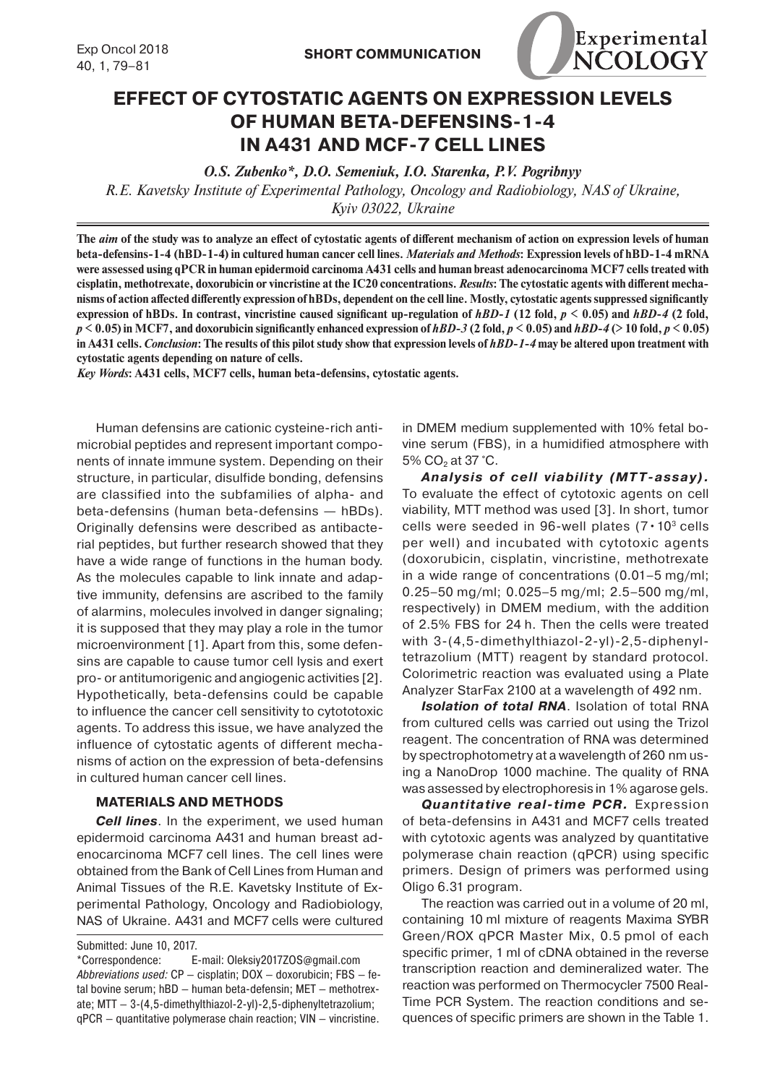

## **EFFECT OF CYTOSTATIC AGENTS ON EXPRESSION LEVELS OF HUMAN BETA-DEFENSINS-1-4 IN A431 AND MCF-7 CELL LINES**

*O.S. Zubenko\*, D.O. Semeniuk, I.O. Starenka, P.V. Pogribnyy*

*R.E. Kavetsky Institute of Experimental Pathology, Oncology and Radiobiology, NAS of Ukraine, Kyiv 03022, Ukraine*

**The** *aim* **of the study was to analyze an effect of cytostatic agents of different mechanism of action on expression levels of human beta-defensins-1-4 (hBD-1-4) in cultured human cancer cell lines.** *Materials and Methods***: Expression levels of hBD-1-4 mRNA were assessed using qPCR in human epidermoid carcinoma A431 cells and human breast adenocarcinoma MCF7 cells treated with cisplatin, methotrexate, doxorubicin or vincristine at the IC20 concentrations.** *Results***: The cytostatic agents with different mechanisms of action affected differently expression of hBDs, dependent on the cell line. Mostly, cytostatic agents suppressed significantly expression of hBDs.** In contrast, vincristine caused significant up-regulation of  $hBD-1$  (12 fold,  $p \le 0.05$ ) and  $hBD-4$  (2 fold,  $p \le 0.05$ ) in MCF7, and doxorubicin significantly enhanced expression of hBD-3 (2 fold,  $p \le 0.05$ ) and hBD-4 (> 10 fold,  $p \le 0.05$ ) **in A431 cells.** *Conclusion***: The results of this pilot study show that expression levels of** *hBD-1-4* **may be altered upon treatment with cytostatic agents depending on nature of cells.**

*Key Words***: A431 cells, MCF7 cells, human beta-defensins, cytostatic agents.**

Human defensins are cationic cysteine-rich antimicrobial peptides and represent important components of innate immune system. Depending on their structure, in particular, disulfide bonding, defensins are classified into the subfamilies of alpha- and beta-defensins (human beta-defensins — hBDs). Originally defensins were described as antibacterial peptides, but further research showed that they have a wide range of functions in the human body. As the molecules capable to link innate and adaptive immunity, defensins are ascribed to the family of alarmins, molecules involved in danger signaling; it is supposed that they may play a role in the tumor microenvironment [1]. Apart from this, some defensins are capable to cause tumor cell lysis and exert pro- or antitumorigenic and angiogenic activities [2]. Hypothetically, beta-defensins could be capable to influence the cancer cell sensitivity to cytototoxic agents. To address this issue, we have analyzed the influence of cytostatic agents of different mechanisms of action on the expression of beta-defensins in cultured human cancer cell lines.

## **MATERIALS AND METHODS**

*Cell lines*. In the experiment, we used human epidermoid carcinoma A431 and human breast adenocarcinoma MCF7 cell lines. The cell lines were obtained from the Bank of Cell Lines from Human and Animal Tissues of the R.E. Kavetsky Institute of Experimental Pathology, Oncology and Radiobiology, NAS of Ukraine. A431 and MCF7 cells were cultured

Submitted: June 10, 2017.

\*Correspondence: E-mail: Oleksiy2017ZOS@gmail.com *Abbreviations used:* СP — cisplatin; DOX — doxorubicin; FBS — fetal bovine serum; hBD — human beta-defensin; МЕТ — methotrexate; MTT — 3-(4,5-dimethylthiazol-2-yl)-2,5-diphenyltetrazolium; qPCR — quantitative polymerase chain reaction; VIN — vincristine. in DMEM medium supplemented with 10% fetal bovine serum (FBS), in a humidified atmosphere with 5%  $CO<sub>2</sub>$  at 37 °C.

*Analysis of cell viability (MTT-assay).* To evaluate the effect of cytotoxic agents on cell viability, MTT method was used [3]. In short, tumor cells were seeded in 96-well plates  $(7 \cdot 10^3 \text{ cells})$ per well) and incubated with cytotoxic agents (doxorubicin, cisplatin, vincristine, methotrexate in a wide range of concentrations (0.01–5 mg/ml; 0.25–50 mg/ml; 0.025–5 mg/ml; 2.5–500 mg/ml, respectively) in DMEM medium, with the addition of 2.5% FBS for 24 h. Then the cells were treated with 3-(4,5-dimethylthiazol-2-yl)-2,5-diphenyltetrazolium (MTT) reagent by standard protocol. Colorimetric reaction was evaluated using a Plate Analyzer StarFax 2100 at a wavelength of 492 nm.

*Isolation of total RNA*. Isolation of total RNA from cultured cells was carried out using the Trizol reagent. The concentration of RNA was determined by spectrophotometry at a wavelength of 260 nm using a NanoDrop 1000 machine. The quality of RNA was assessed by electrophoresis in 1% agarose gels.

*Quantitative real-time PCR.* Expression of beta-defensins in A431 and MCF7 cells treated with cytotoxic agents was analyzed by quantitative polymerase chain reaction (qPCR) using specific primers. Design of primers was performed using Oligo 6.31 program.

The reaction was carried out in a volume of 20 ml, containing 10 ml mixture of reagents Maxima SYBR Green/ROX qPCR Master Mix, 0.5 pmol of each specific primer, 1 ml of cDNA obtained in the reverse transcription reaction and demineralized water. The reaction was performed on Thermocycler 7500 Real-Time PCR System. The reaction conditions and sequences of specific primers are shown in the Table 1.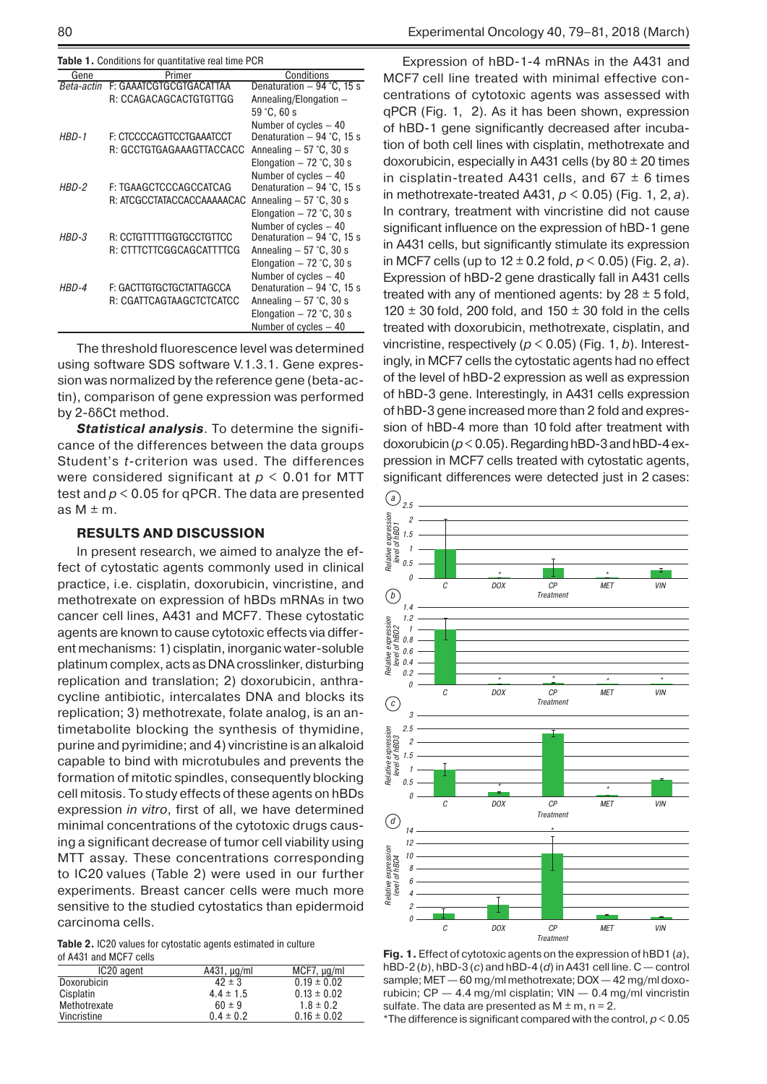| Table 1. Conditions for quantitative real time PCR |  |  |
|----------------------------------------------------|--|--|
|----------------------------------------------------|--|--|

| Gene       | Primer                     | Conditions                  |
|------------|----------------------------|-----------------------------|
| Beta-actin | F: GAAATCGTGCGTGACATTAA    | Denaturation $-94$ °C, 15 s |
|            | R: CCAGACAGCACTGTGTTGG     | Annealing/Elongation -      |
|            |                            | 59 °C, 60 s                 |
|            |                            | Number of cycles - 40       |
| $HBD-1$    | F: CTCCCCAGTTCCTGAAATCCT   | Denaturation $-94$ °C, 15 s |
|            | R: GCCTGTGAGAAAGTTACCACC   | Annealing $-57$ °C, 30 s    |
|            |                            | Elongation $-72$ °C, 30 s   |
|            |                            | Number of cycles - 40       |
| HBD-2      | F: TGAAGCTCCCAGCCATCAG     | Denaturation $-94$ °C, 15 s |
|            | R: ATCGCCTATACCACCAAAAACAC | Annealing $-57$ °C, 30 s    |
|            |                            | Elongation $-72$ °C, 30 s   |
|            |                            | Number of cycles - 40       |
| HBD-3      | R: CCTGTTTTTGGTGCCTGTTCC   | Denaturation $-94$ °C, 15 s |
|            | R: CTTTCTTCGGCAGCATTTTCG   | Annealing $-57$ °C, 30 s    |
|            |                            | Elongation $-72$ °C, 30 s   |
|            |                            | Number of cycles - 40       |
| HBD-4      | F: GACTTGTGCTGCTATTAGCCA   | Denaturation $-94$ °C, 15 s |
|            | R: CGATTCAGTAAGCTCTCATCC   | Annealing $-57$ °C, 30 s    |
|            |                            | Elongation $-72$ °C, 30 s   |
|            |                            | Number of cycles - 40       |

The threshold fluorescence level was determined using software SDS software V.1.3.1. Gene expression was normalized by the reference gene (beta-actin), comparison of gene expression was performed by 2-δδCt method.

*Statistical analysis*. To determine the significance of the differences between the data groups Student's *t*-criterion was used. The differences were considered significant at *p* < 0.01 for MTT test and *p* < 0.05 for qPCR. The data are presented as  $M \pm m$ .

## **RESULTS AND DISCUSSION**

In present research, we aimed to analyze the effect of cytostatic agents commonly used in clinical practice, i.e. cisplatin, doxorubicin, vincristine, and methotrexate on expression of hBDs mRNAs in two cancer cell lines, A431 and MCF7. These cytostatic agents are known to cause cytotoxic effects via different mechanisms: 1) cisplatin, inorganic water-soluble platinum complex, acts as DNA crosslinker, disturbing replication and translation; 2) doxorubicin, anthracycline antibiotic, intercalates DNA and blocks its replication; 3) methotrexate, folate analog, is an antimetabolite blocking the synthesis of thymidine, purine and pyrimidine; and 4) vincristine is an alkaloid capable to bind with microtubules and prevents the formation of mitotic spindles, consequently blocking cell mitosis. To study effects of these agents on hBDs expression *in vitro*, first of all, we have determined minimal concentrations of the cytotoxic drugs causing a significant decrease of tumor cell viability using MTT assay. These concentrations corresponding to IC20 values (Table 2) were used in our further experiments. Breast cancer cells were much more sensitive to the studied cytostatics than epidermoid carcinoma cells.

**Table 2.** ІС20 values for cytostatic agents estimated in culture of А431 and MCF7 cells

| IC <sub>20</sub> agent | A431, $\mu$ g/ml | MCF7, µg/ml     |
|------------------------|------------------|-----------------|
| Doxorubicin            | $42 \pm 3$       | $0.19 \pm 0.02$ |
| Cisplatin              | $4.4 \pm 1.5$    | $0.13 \pm 0.02$ |
| Methotrexate           | $60 \pm 9$       | $1.8 \pm 0.2$   |
| Vincristine            | $0.4 \pm 0.2$    | $0.16 \pm 0.02$ |

Expression of hBD-1-4 mRNAs in the A431 and MCF7 cell line treated with minimal effective concentrations of cytotoxic agents was assessed with qPCR (Fig. 1, 2). As it has been shown, expression of hBD-1 gene significantly decreased after incubation of both cell lines with cisplatin, methotrexate and doxorubicin, especially in A431 cells (by 80 ± 20 times in cisplatin-treated A431 cells, and  $67 \pm 6$  times in methotrexate-treated А431, *p* < 0.05) (Fig. 1, 2, *a*). In contrary, treatment with vincristine did not cause significant influence on the expression of hBD-1 gene in A431 cells, but significantly stimulate its expression in MCF7 cells (up to 12 ± 0.2 fold, *p* < 0.05) (Fig. 2, *a*). Expression of hBD-2 gene drastically fall in A431 cells treated with any of mentioned agents: by  $28 \pm 5$  fold, 120  $\pm$  30 fold, 200 fold, and 150  $\pm$  30 fold in the cells treated with doxorubicin, methotrexate, cisplatin, and vincristine, respectively (*p* < 0.05) (Fig. 1, *b*). Interestingly, in MCF7 cells the cytostatic agents had no effect of the level of hBD-2 expression as well as expression of hBD-3 gene. Interestingly, in A431 cells expression of hBD-3 gene increased more than 2 fold and expression of hBD-4 more than 10 fold after treatment with doxorubicin (*p*< 0.05). Regarding hBD-3 and hBD-4 expression in MCF7 cells treated with cytostatic agents, significant differences were detected just in 2 cases:



**Fig. 1.** Effect of cytotoxic agents on the expression of hBD1 (*a*), hBD-2 (*b*), hBD-3 (*c*) and hBD-4 (*d*) in A431 cell line. C — control sample; MET— 60 mg/ml methotrexate; DOX— 42 mg/ml doxorubicin; CP — 4.4 mg/ml cisplatin; VIN — 0.4 mg/ml vincristin sulfate. The data are presented as  $M \pm m$ , n = 2.

\*The difference is significant compared with the control, *p* < 0.05